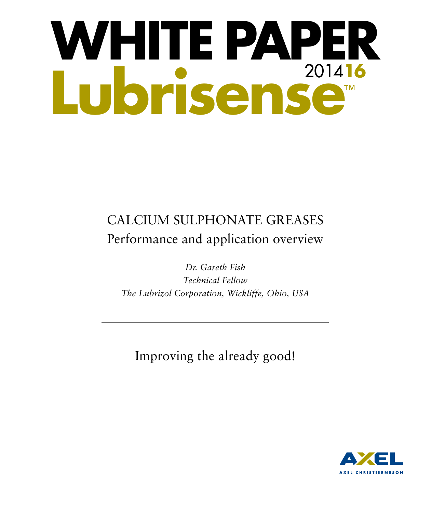# **WHITE PAPER Lubrisense**™ 2014**16**

# CALCIUM SULPHONATE GREASES Performance and application overview

*Dr. Gareth Fish Technical Fellow The Lubrizol Corporation, Wickliffe, Ohio, USA*

Improving the already good!

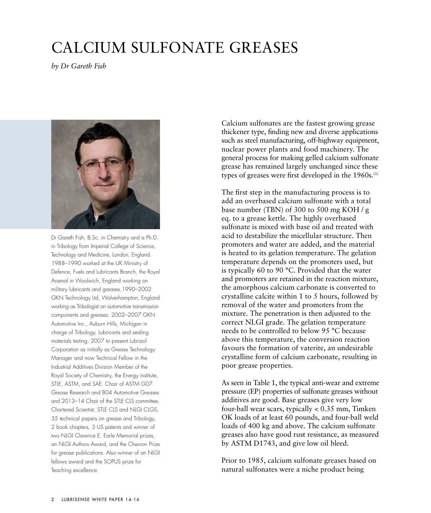# CALCIUM SULFONATE GREASES

*by Dr Gareth Fish*



Dr Gareth Fish, B.Sc. in Chemistry and a Ph.D. in Tribology from Imperial College of Science, Technology and Medicine, London, England. 1988–1990 worked at the UK Ministry of Defence, Fuels and Lubricants Branch, the Royal Arsenal in Woolwich, England working on military lubricants and greases.1990–2002 GKN Technology Ltd, Wolverhampton, England working as Tribologist on automotive transmission components and greases. 2002–2007 GKN Automotive Inc., Auburn Hills, Michigan in charge of Tribology, Lubricants and sealing materials testing. 2007 to present Lubrizol Corporation as initially as Grease Technology Manager and now Technical Fellow in the Industrial Additives Division Member of the Royal Society of Chemistry, the Energy institute, STLE, ASTM, and SAE. Chair of ASTM G07 Grease Research and B04 Automotive Greases and 2013–14 Chair of the STLE CLS committee. Chartered Scientist, STLE CLS and NLGI CLGS, 35 technical papers on grease and Tribology, 2 book chapters, 3 US patents and winner of two NLGI Clarence E. Earle Memorial prizes, an NLGI Authors Award, and the Chevron Prize for grease publications. Also winner of an NLGI fellows award and the SOPUS prize for Teaching excellence.

Calcium sulfonates are the fastest growing grease thickener type, finding new and diverse applications such as steel manufacturing, off-highway equipment, nuclear power plants and food machinery. The general process for making gelled calcium sulfonate grease has remained largely unchanged since these types of greases were first developed in the 1960s.<sup>(1)</sup>

The first step in the manufacturing process is to add an overbased calcium sulfonate with a total base number (TBN) of 300 to 500 mg KOH / g eq. to a grease kettle. The highly overbased sulfonate is mixed with base oil and treated with acid to destabilize the micellular structure. Then promoters and water are added, and the material is heated to its gelation temperature. The gelation temperature depends on the promoters used, but is typically 60 to 90 °C. Provided that the water and promoters are retained in the reaction mixture, the amorphous calcium carbonate is converted to crystalline calcite within 1 to 5 hours, followed by removal of the water and promoters from the mixture. The penetration is then adjusted to the correct NLGI grade. The gelation temperature needs to be controlled to below 95 °C because above this temperature, the conversion reaction favours the formation of vaterite, an undesirable crystalline form of calcium carbonate, resulting in poor grease properties.

As seen in Table 1, the typical anti-wear and extreme pressure (EP) properties of sulfonate greases without additives are good. Base greases give very low four-ball wear scars, typically < 0.35 mm, Timken OK loads of at least 60 pounds, and four-ball weld loads of 400 kg and above. The calcium sulfonate greases also have good rust resistance, as measured by ASTM D1743, and give low oil bleed.

Prior to 1985, calcium sulfonate greases based on natural sulfonates were a niche product being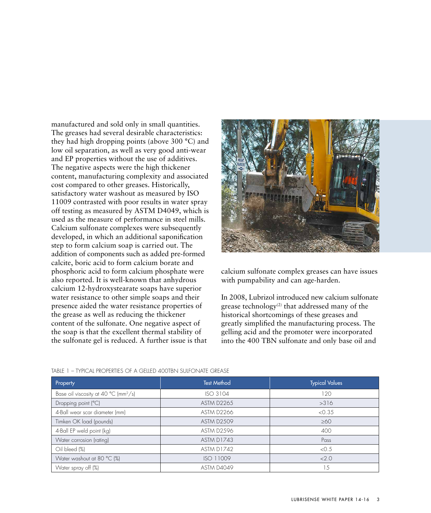manufactured and sold only in small quantities. The greases had several desirable characteristics: they had high dropping points (above 300 °C) and low oil separation, as well as very good anti-wear and EP properties without the use of additives. The negative aspects were the high thickener content, manufacturing complexity and associated cost compared to other greases. Historically, satisfactory water washout as measured by ISO 11009 contrasted with poor results in water spray off testing as measured by ASTM D4049, which is used as the measure of performance in steel mills. Calcium sulfonate complexes were subsequently developed, in which an additional saponification step to form calcium soap is carried out. The addition of components such as added pre-formed calcite, boric acid to form calcium borate and phosphoric acid to form calcium phosphate were also reported. It is well-known that anhydrous calcium 12-hydroxystearate soaps have superior water resistance to other simple soaps and their presence aided the water resistance properties of the grease as well as reducing the thickener content of the sulfonate. One negative aspect of the soap is that the excellent thermal stability of the sulfonate gel is reduced. A further issue is that



calcium sulfonate complex greases can have issues with pumpability and can age-harden.

In 2008, Lubrizol introduced new calcium sulfonate grease technology<sup>(2)</sup> that addressed many of the historical shortcomings of these greases and greatly simplified the manufacturing process. The gelling acid and the promoter were incorporated into the 400 TBN sulfonate and only base oil and

| Property                                                   | <b>Test Method</b> | <b>Typical Values</b> |  |
|------------------------------------------------------------|--------------------|-----------------------|--|
| Base oil viscosity at 40 $^{\circ}$ C (mm <sup>2</sup> /s) | ISO 3104           | 120                   |  |
| Dropping point (°C)                                        | <b>ASTM D2265</b>  | >316                  |  |
| 4-Ball wear scar diameter (mm)                             | ASTM D2266         | < 0.35                |  |
| Timken OK load (pounds)                                    | <b>ASTM D2509</b>  | $\geq 60$             |  |
| 4-Ball EP weld point (kg)                                  | <b>ASTM D2596</b>  | 400                   |  |
| Water corrosion (rating)                                   | ASTM D1743         | Pass                  |  |
| Oil bleed (%)                                              | <b>ASTM D1742</b>  | < 0.5                 |  |
| Water washout at 80 °C (%)                                 | ISO 11009          | <2.0                  |  |
| Water spray off (%)                                        | <b>ASTM D4049</b>  | .5                    |  |

#### TABLE 1 – TYPICAL PROPERTIES OF A GELLED 400TBN SULFONATE GREASE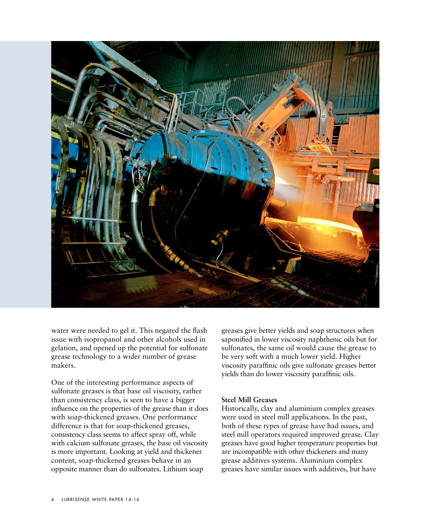

water were needed to gel it. This negated the flash issue with isopropanol and other alcohols used in gelation, and opened up the potential for sulfonate grease technology to a wider number of grease makers.

One of the interesting performance aspects of sulfonate greases is that base oil viscosity, rather than consistency class, is seen to have a bigger influence on the properties of the grease than it does with soap-thickened greases. One performance difference is that for soap-thickened greases, consistency class seems to affect spray off, while with calcium sulfonate greases, the base oil viscosity is more important. Looking at yield and thickener content, soap-thickened greases behave in an opposite manner than do sulfonates. Lithium soap

greases give better yields and soap structures when saponified in lower viscosity naphthenic oils but for sulfonates, the same oil would cause the grease to be very soft with a much lower yield. Higher viscosity paraffinic oils give sulfonate greases better yields than do lower viscosity paraffinic oils.

# **Steel Mill Greases**

Historically, clay and aluminium complex greases were used in steel mill applications. In the past, both of these types of grease have had issues, and steel mill operators required improved grease. Clay greases have good higher temperature properties but are incompatible with other thickeners and many grease additives systems. Aluminium complex greases have similar issues with additives, but have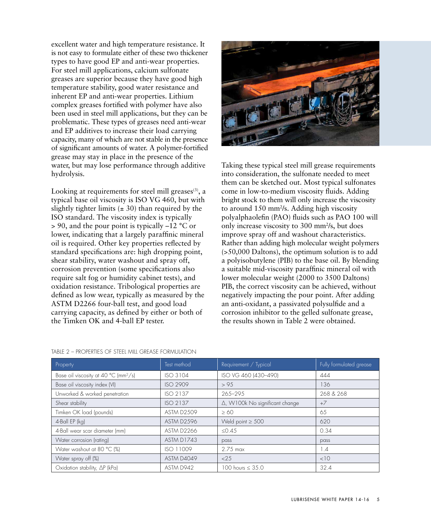excellent water and high temperature resistance. It is not easy to formulate either of these two thickener types to have good EP and anti-wear properties. For steel mill applications, calcium sulfonate greases are superior because they have good high temperature stability, good water resistance and inherent EP and anti-wear properties. Lithium complex greases fortified with polymer have also been used in steel mill applications, but they can be problematic. These types of greases need anti-wear and EP additives to increase their load carrying capacity, many of which are not stable in the presence of significant amounts of water. A polymer-fortified grease may stay in place in the presence of the water, but may lose performance through additive hydrolysis.

Looking at requirements for steel mill greases $(3)$ , a typical base oil viscosity is ISO VG 460, but with slightly tighter limits  $(\pm 30)$  than required by the ISO standard. The viscosity index is typically > 90, and the pour point is typically –12 °C or lower, indicating that a largely paraffinic mineral oil is required. Other key properties reflected by standard specifications are: high dropping point, shear stability, water washout and spray off, corrosion prevention (some specifications also require salt fog or humidity cabinet tests), and oxidation resistance. Tribological properties are defined as low wear, typically as measured by the ASTM D2266 four-ball test, and good load carrying capacity, as defined by either or both of the Timken OK and 4-ball EP tester.



Taking these typical steel mill grease requirements into consideration, the sulfonate needed to meet them can be sketched out. Most typical sulfonates come in low-to-medium viscosity fluids. Adding bright stock to them will only increase the viscosity to around 150 mm<sup>2</sup>/s. Adding high viscosity polyalphaolefin (PAO) fluids such as PAO 100 will only increase viscosity to 300 mm<sup>2</sup>/s, but does improve spray off and washout characteristics. Rather than adding high molecular weight polymers (>50,000 Daltons), the optimum solution is to add a polyisobutylene (PIB) to the base oil. By blending a suitable mid-viscosity paraffinic mineral oil with lower molecular weight (2000 to 3500 Daltons) PIB, the correct viscosity can be achieved, without negatively impacting the pour point. After adding an anti-oxidant, a passivated polysulfide and a corrosion inhibitor to the gelled sulfonate grease, the results shown in Table 2 were obtained.

| Property                                                   | Test method       | Requirement / Typical          | Fully formulated grease |
|------------------------------------------------------------|-------------------|--------------------------------|-------------------------|
| Base oil viscosity at 40 $^{\circ}$ C (mm <sup>2</sup> /s) | ISO 3104          | ISO VG 460 (430-490)           | 444                     |
| Base oil viscosity index (VI)                              | <b>ISO 2909</b>   | > 95                           | 136                     |
| Unworked & worked penetration                              | ISO 2137          | $265 - 295$                    | 268 & 268               |
| Shear stability                                            | ISO 2137          | Δ, W100k No significant change | $+7$                    |
| Timken OK load (pounds)                                    | <b>ASTM D2509</b> | $\geq 60$                      | 65                      |
| 4-Ball EP (kg)                                             | <b>ASTM D2596</b> | Weld point $\geq 500$          | 620                     |
| 4-Ball wear scar diameter (mm)                             | <b>ASTM D2266</b> | < 0.45                         | 0.34                    |
| Water corrosion (rating)                                   | ASTM D1743        | pass                           | pass                    |
| Water washout at 80 °C (%)                                 | ISO 11009         | $2.75$ max                     | 1.4                     |
| Water spray off (%)                                        | <b>ASTM D4049</b> | <25                            | <10                     |
| Oxidation stability, AP (kPa)                              | ASTM D942         | 100 hours $\leq 35.0$          | 32.4                    |

# TABLE 2 – PROPERTIES OF STEEL MILL GREASE FORMULATION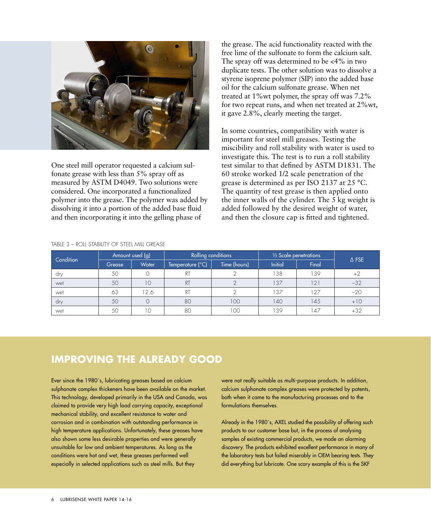

One steel mill operator requested a calcium sulfonate grease with less than 5% spray off as measured by ASTM D4049. Two solutions were considered. One incorporated a functionalized polymer into the grease. The polymer was added by dissolving it into a portion of the added base fluid and then incorporating it into the gelling phase of

the grease. The acid functionality reacted with the free lime of the sulfonate to form the calcium salt. The spray off was determined to be <4% in two duplicate tests. The other solution was to dissolve a styrene isoprene polymer (SIP) into the added base oil for the calcium sulfonate grease. When net treated at 1%wt polymer, the spray off was 7.2% for two repeat runs, and when net treated at 2%wt, it gave 2.8%, clearly meeting the target.

In some countries, compatibility with water is important for steel mill greases. Testing the miscibility and roll stability with water is used to investigate this. The test is to run a roll stability test similar to that defined by ASTM D1831. The 60 stroke worked 1/2 scale penetration of the grease is determined as per ISO 2137 at 25 °C. The quantity of test grease is then applied onto the inner walls of the cylinder. The 5 kg weight is added followed by the desired weight of water, and then the closure cap is fitted and tightened.

| Condition | Amount used (g) |       | Rolling conditions |              | 1/2 Scale penetrations |       |                 |
|-----------|-----------------|-------|--------------------|--------------|------------------------|-------|-----------------|
|           | Grease          | Water | Temperature (°C)   | Time (hours) | <b>Initial</b>         | Final | $\triangle$ FSE |
| dry       | 50              |       | <sub>R</sub>       |              | 138                    | 139   | $+2$            |
| wet       | 50              | 10    | RT                 |              | 137                    | 121   | $-32$           |
| wet       | 63              | 12.6  | RT                 |              | 137                    | 127   | $-20$           |
| dry       | 50              |       | 80                 | 100          | 140                    | 145   | $+10$           |
| wet       | 50              | 10    | 80                 | 100          | 39ء                    | 47    | $+32$           |

# TABLE 3 – ROLL STABILITY OF STEEL MILL GREASE

# **IMPROVING THE ALREADY GOOD**

Ever since the 1980´s, lubricating greases based on calcium sulphonate complex thickeners have been available on the market. This technology, developed primarily in the USA and Canada, was claimed to provide very high load carrying capacity, exceptional mechanical stability, and excellent resistance to water and corrosion and in combination with outstanding performance in high temperature applications. Unfortunately, these greases have also shown some less desirable properties and were generally unsuitable for low and ambient temperatures. As long as the conditions were hot and wet, these greases performed well especially in selected applications such as steel mills. But they

were not really suitable as multi-purpose products. In addition, calcium sulphonate complex greases were protected by patents, both when it came to the manufacturing processes and to the formulations themselves.

Already in the 1980's, AXEL studied the possibility of offering such products to our customer base but, in the process of analysing samples of existing commercial products, we made an alarming discovery. The products exhibited excellent performance in many of the laboratory tests but failed miserably in OEM bearing tests. They did everything but lubricate. One scary example of this is the SKF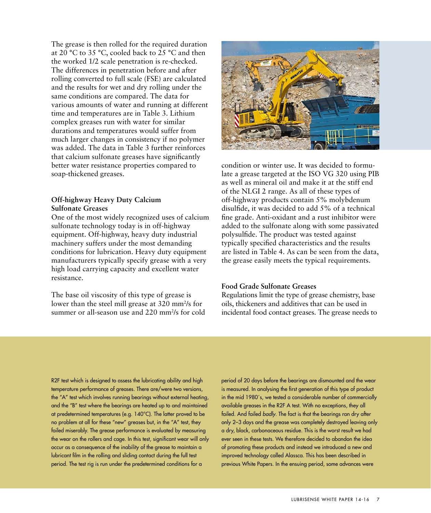The grease is then rolled for the required duration at 20 °C to 35 °C, cooled back to 25 °C and then the worked 1/2 scale penetration is re-checked. The differences in penetration before and after rolling converted to full scale (FSE) are calculated and the results for wet and dry rolling under the same conditions are compared. The data for various amounts of water and running at different time and temperatures are in Table 3. Lithium complex greases run with water for similar durations and temperatures would suffer from much larger changes in consistency if no polymer was added. The data in Table 3 further reinforces that calcium sulfonate greases have significantly better water resistance properties compared to soap-thickened greases.

# **Off-highway Heavy Duty Calcium Sulfonate Greases**

One of the most widely recognized uses of calcium sulfonate technology today is in off-highway equipment. Off-highway, heavy duty industrial machinery suffers under the most demanding conditions for lubrication. Heavy duty equipment manufacturers typically specify grease with a very high load carrying capacity and excellent water resistance.

The base oil viscosity of this type of grease is lower than the steel mill grease at 320 mm<sup>2</sup>/s for summer or all-season use and 220 mm<sup>2</sup>/s for cold



condition or winter use. It was decided to formulate a grease targeted at the ISO VG 320 using PIB as well as mineral oil and make it at the stiff end of the NLGI 2 range. As all of these types of off-highway products contain 5% molybdenum disulfide, it was decided to add 5% of a technical fine grade. Anti-oxidant and a rust inhibitor were added to the sulfonate along with some passivated polysulfide. The product was tested against typically specified characteristics and the results are listed in Table 4. As can be seen from the data, the grease easily meets the typical requirements.

# **Food Grade Sulfonate Greases**

Regulations limit the type of grease chemistry, base oils, thickeners and additives that can be used in incidental food contact greases. The grease needs to

R2F test which is designed to assess the lubricating ability and high temperature performance of greases. There are/were two versions, the "A" test which involves running bearings without external heating, and the "B" test where the bearings are heated up to and maintained at predetermined temperatures (e.g. 140°C). The latter proved to be no problem at all for these "new" greases but, in the "A" test, they failed miserably. The grease performance is evaluated by measuring the wear on the rollers and cage. In this test, significant wear will only occur as a consequence of the inability of the grease to maintain a lubricant film in the rolling and sliding contact during the full test period. The test rig is run under the predetermined conditions for a

period of 20 days before the bearings are dismounted and the wear is measured. In analysing the first generation of this type of product in the mid 1980´s, we tested a considerable number of commercially available greases in the R2F A test. With no exceptions, they all failed. And failed *badly*. The fact is that the bearings ran dry after only 2–3 days and the grease was completely destroyed leaving only a dry, black, carbonaceous residue. This is the worst result we had ever seen in these tests. We therefore decided to abandon the idea of promoting these products and instead we introduced a new and improved technology called Alassca. This has been described in previous White Papers. In the ensuing period, some advances were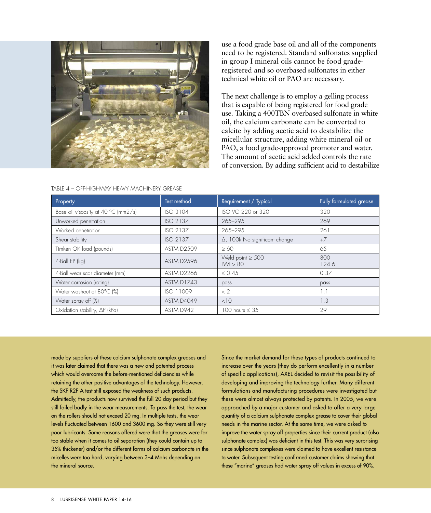

use a food grade base oil and all of the components need to be registered. Standard sulfonates supplied in group I mineral oils cannot be food graderegistered and so overbased sulfonates in either technical white oil or PAO are necessary.

The next challenge is to employ a gelling process that is capable of being registered for food grade use. Taking a 400TBN overbased sulfonate in white oil, the calcium carbonate can be converted to calcite by adding acetic acid to destabilize the micellular structure, adding white mineral oil or PAO, a food grade-approved promoter and water. The amount of acetic acid added controls the rate of conversion. By adding sufficient acid to destabilize

| Property                            | Test method       | Requirement / Typical                 | Fully formulated grease |  |
|-------------------------------------|-------------------|---------------------------------------|-------------------------|--|
| Base oil viscosity at 40 °C (mm2/s) | ISO 3104          | ISO VG 220 or 320                     | 320                     |  |
| Unworked penetration                | ISO 2137          | 265-295                               | 269                     |  |
| Worked penetration                  | ISO 2137          | 265-295                               | 261                     |  |
| Shear stability                     | ISO 2137          | $\Delta$ , 100k No significant change | $+7$                    |  |
| Timken OK load (pounds)             | <b>ASTM D2509</b> | $\geq 60$                             | 65                      |  |
| 4-Ball EP (kg)                      | ASTM D2596        | Weld point $\geq 500$<br>LWI > 80     | 800<br>124.6            |  |
| 4-Ball wear scar diameter (mm)      | <b>ASTM D2266</b> | $\leq 0.45$                           | 0.37                    |  |
| Water corrosion (rating)            | ASTM D1743        | pass                                  | pass                    |  |
| Water washout at 80°C (%)           | ISO 11009         | < 2                                   | 1.1                     |  |
| Water spray off (%)                 | ASTM D4049        | <10                                   | 1.3                     |  |
| Oxidation stability, AP (kPa)       | ASTM D942         | 100 hours $\leq$ 35                   | 29                      |  |

TABLE 4 – OFF-HIGHWAY HEAVY MACHINERY GREASE

made by suppliers of these calcium sulphonate complex greases and it was later claimed that there was a new and patented process which would overcome the before-mentioned deficiencies while retaining the other positive advantages of the technology. However, the SKF R2F A test still exposed the weakness of such products. Admittedly, the products now survived the full 20 day period but they still failed badly in the wear measurements. To pass the test, the wear on the rollers should not exceed 20 mg. In multiple tests, the wear levels fluctuated between 1600 and 3600 mg. So they were still very poor lubricants. Some reasons offered were that the greases were far too stable when it comes to oil separation (they could contain up to 35% thickener) and/or the different forms of calcium carbonate in the micelles were too hard, varying between 3–4 Mohs depending on the mineral source.

Since the market demand for these types of products continued to increase over the years (they do perform excellently in a number of specific applications), AXEL decided to revisit the possibility of developing and improving the technology further. Many different formulations and manufacturing procedures were investigated but these were almost always protected by patents. In 2005, we were approached by a major customer and asked to offer a very large quantity of a calcium sulphonate complex grease to cover their global needs in the marine sector. At the same time, we were asked to improve the water spray off properties since their current product (also sulphonate complex) was deficient in this test. This was very surprising since sulphonate complexes were claimed to have excellent resistance to water. Subsequent testing confirmed customer claims showing that these "marine" greases had water spray off values in excess of 90%.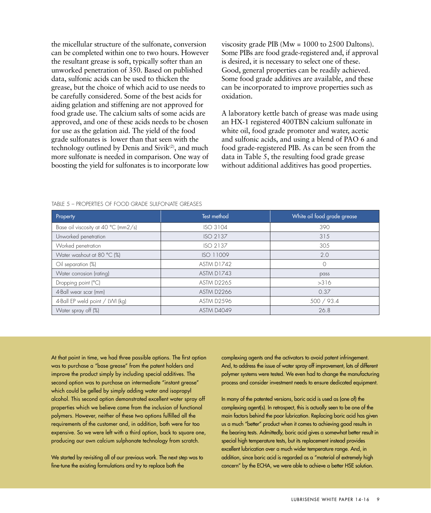the micellular structure of the sulfonate, conversion can be completed within one to two hours. However the resultant grease is soft, typically softer than an unworked penetration of 350. Based on published data, sulfonic acids can be used to thicken the grease, but the choice of which acid to use needs to be carefully considered. Some of the best acids for aiding gelation and stiffening are not approved for food grade use. The calcium salts of some acids are approved, and one of these acids needs to be chosen for use as the gelation aid. The yield of the food grade sulfonates is lower than that seen with the technology outlined by Denis and Sivik $(2)$ , and much more sulfonate is needed in comparison. One way of boosting the yield for sulfonates is to incorporate low

viscosity grade PIB (Mw = 1000 to 2500 Daltons). Some PIBs are food grade-registered and, if approval is desired, it is necessary to select one of these. Good, general properties can be readily achieved. Some food grade additives are available, and these can be incorporated to improve properties such as oxidation.

A laboratory kettle batch of grease was made using an HX-1 registered 400TBN calcium sulfonate in white oil, food grade promoter and water, acetic and sulfonic acids, and using a blend of PAO 6 and food grade-registered PIB. As can be seen from the data in Table 5, the resulting food grade grease without additional additives has good properties.

| Property                            | Test method       | White oil food grade grease |
|-------------------------------------|-------------------|-----------------------------|
| Base oil viscosity at 40 °C (mm2/s) | <b>ISO 3104</b>   | 390                         |
| Unworked penetration                | ISO 2137          | 315                         |
| Worked penetration                  | ISO 2137          | 305                         |
| Water washout at 80 °C (%)          | ISO 11009         | 2.0                         |
| Oil separation (%)                  | ASTM D1742        | $\Omega$                    |
| Water corrosion (rating)            | ASTM D1743        | pass                        |
| Dropping point (°C)                 | <b>ASTM D2265</b> | >316                        |
| 4-Ball wear scar (mm)               | <b>ASTM D2266</b> | 0.37                        |
| 4-Ball EP weld point / LWI (kg)     | ASTM D2596        | 500 / 93.4                  |
| Water spray off (%)                 | <b>ASTM D4049</b> | 26.8                        |

#### TABLE 5 – PROPERTIES OF FOOD GRADE SULFONATE GREASES

At that point in time, we had three possible options. The first option was to purchase a "base grease" from the patent holders and improve the product simply by including special additives. The second option was to purchase an intermediate "instant grease" which could be gelled by simply adding water and isopropyl alcohol. This second option demonstrated excellent water spray off properties which we believe came from the inclusion of functional polymers. However, neither of these two options fulfilled all the requirements of the customer and, in addition, both were far too expensive. So we were left with a third option, back to square one, producing our own calcium sulphonate technology from scratch.

We started by revisiting all of our previous work. The next step was to fine-tune the existing formulations and try to replace both the

complexing agents and the activators to avoid patent infringement. And, to address the issue of water spray off improvement, lots of different polymer systems were tested. We even had to change the manufacturing process and consider investment needs to ensure dedicated equipment.

In many of the patented versions, boric acid is used as (one of) the complexing agent(s). In retrospect, this is actually seen to be one of the main factors behind the poor lubrication. Replacing boric acid has given us a much "better" product when it comes to achieving good results in the bearing tests. Admittedly, boric acid gives a somewhat better result in special high temperature tests, but its replacement instead provides excellent lubrication over a much wider temperature range. And, in addition, since boric acid is regarded as a "material of extremely high concern" by the ECHA, we were able to achieve a better HSE solution.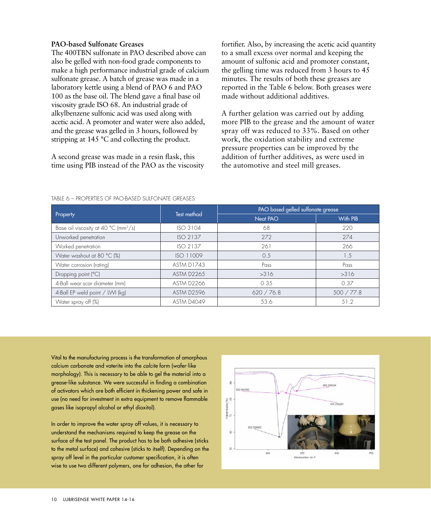# **PAO-based Sulfonate Greases**

The 400TBN sulfonate in PAO described above can also be gelled with non-food grade components to make a high performance industrial grade of calcium sulfonate grease. A batch of grease was made in a laboratory kettle using a blend of PAO 6 and PAO 100 as the base oil. The blend gave a final base oil viscosity grade ISO 68. An industrial grade of alkylbenzene sulfonic acid was used along with acetic acid. A promoter and water were also added, and the grease was gelled in 3 hours, followed by stripping at 145 °C and collecting the product.

A second grease was made in a resin flask, this time using PIB instead of the PAO as the viscosity

fortifier. Also, by increasing the acetic acid quantity to a small excess over normal and keeping the amount of sulfonic acid and promoter constant, the gelling time was reduced from 3 hours to 45 minutes. The results of both these greases are reported in the Table 6 below. Both greases were made without additional additives.

A further gelation was carried out by adding more PIB to the grease and the amount of water spray off was reduced to 33%. Based on other work, the oxidation stability and extreme pressure properties can be improved by the addition of further additives, as were used in the automotive and steel mill greases.

| Property                                 | Test method       | PAO based gelled sulfonate grease |                 |  |
|------------------------------------------|-------------------|-----------------------------------|-----------------|--|
|                                          |                   | Neat PAO                          | With PIB        |  |
| Base oil viscosity at 40 °C ( $mm^2/s$ ) | <b>ISO 3104</b>   | 68                                | 220             |  |
| Unworked penetration                     | ISO 2137          | 272                               | 274             |  |
| Worked penetration                       | ISO 2137          | 261                               | 266             |  |
| Water washout at 80 °C (%)               | ISO 11009         | 0.5                               | $\overline{.5}$ |  |
| Water corrosion (rating)                 | ASTM D1743        | Pass                              | Pass            |  |
| Dropping point (°C)                      | <b>ASTM D2265</b> | >316                              | >316            |  |
| 4-Ball wear scar diameter (mm)           | <b>ASTM D2266</b> | 0.35                              | 0.37            |  |
| 4-Ball EP weld point / LWI (kg)          | <b>ASTM D2596</b> | 620 / 76.8                        | 500 / 77.8      |  |
| Water spray off (%)                      | ASTM D4049        | 53.6                              | 51.2            |  |

#### TABLE 6 – PROPERTIES OF PAO-BASED SULFONATE GREASES

Vital to the manufacturing process is the transformation of amorphous calcium carbonate and vaterite into the *calcite* form (wafer-like morphology). This is necessary to be able to gel the material into a grease-like substance. We were successful in finding a combination of activators which are both efficient in thickening power and safe in use (no need for investment in extra equipment to remove flammable gases like isopropyl alcohol or ethyl dioxitol).

In order to improve the water spray off values, it is necessary to understand the mechanisms required to keep the grease on the surface of the test panel. The product has to be both adhesive (sticks to the metal surface) and cohesive (sticks to itself). Depending on the spray off level in the particular customer specification, it is often wise to use two different polymers, one for adhesion, the other for

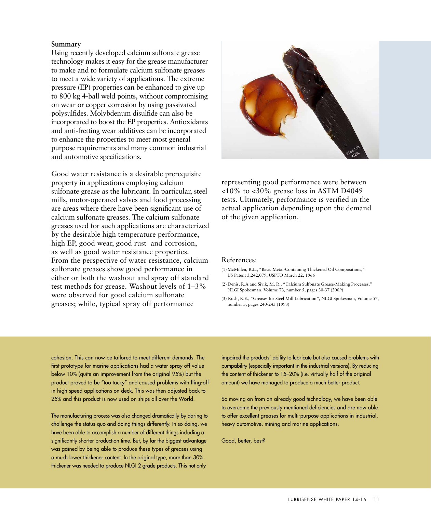# **Summary**

Using recently developed calcium sulfonate grease technology makes it easy for the grease manufacturer to make and to formulate calcium sulfonate greases to meet a wide variety of applications. The extreme pressure (EP) properties can be enhanced to give up to 800 kg 4-ball weld points, without compromising on wear or copper corrosion by using passivated polysulfides. Molybdenum disulfide can also be incorporated to boost the EP properties. Antioxidants and anti-fretting wear additives can be incorporated to enhance the properties to meet most general purpose requirements and many common industrial and automotive specifications.

Good water resistance is a desirable prerequisite property in applications employing calcium sulfonate grease as the lubricant. In particular, steel mills, motor-operated valves and food processing are areas where there have been significant use of calcium sulfonate greases. The calcium sulfonate greases used for such applications are characterized by the desirable high temperature performance, high EP, good wear, good rust and corrosion, as well as good water resistance properties. From the perspective of water resistance, calcium sulfonate greases show good performance in either or both the washout and spray off standard test methods for grease. Washout levels of 1–3% were observed for good calcium sulfonate greases; while, typical spray off performance



representing good performance were between <10% to <30% grease loss in ASTM D4049 tests. Ultimately, performance is verified in the actual application depending upon the demand of the given application.

# References:

- (1) McMillen, R.L., "Basic Metal-Containing Thickened Oil Compositions," US Patent 3,242,079, USPTO March 22, 1966
- (2) Denis, R.A and Sivik, M. R., "Calcium Sulfonate Grease-Making Processes," NLGI Spokesman, Volume 73, number 5, pages 30-37 (2009)

(3) Rush, R.E., "Greases for Steel Mill Lubrication", NLGI Spokesman, Volume 57, number 3, pages 240-243 (1993)

cohesion. This can now be tailored to meet different demands. The first prototype for marine applications had a water spray off value below 10% (quite an improvement from the original 95%) but the product proved to be "too tacky" and caused problems with fling-off in high speed applications on deck. This was then adjusted back to 25% and this product is now used on ships all over the World.

The manufacturing process was also changed dramatically by daring to challenge the status-quo and doing things differently. In so doing, we have been able to accomplish a number of different things including a significantly shorter production time. But, by far the biggest advantage was gained by being able to produce these types of greases using a much lower thickener content. In the original type, more than 30% thickener was needed to produce NLGI 2 grade products. This not only

impaired the products´ ability to lubricate but also caused problems with pumpability (especially important in the industrial versions). By reducing the content of thickener to 15–20% (i.e. virtually half of the original amount) we have managed to produce a much better product.

So moving on from an already good technology, we have been able to overcome the previously mentioned deficiencies and are now able to offer excellent greases for multi-purpose applications in industrial, heavy automotive, mining and marine applications.

Good, better, best?